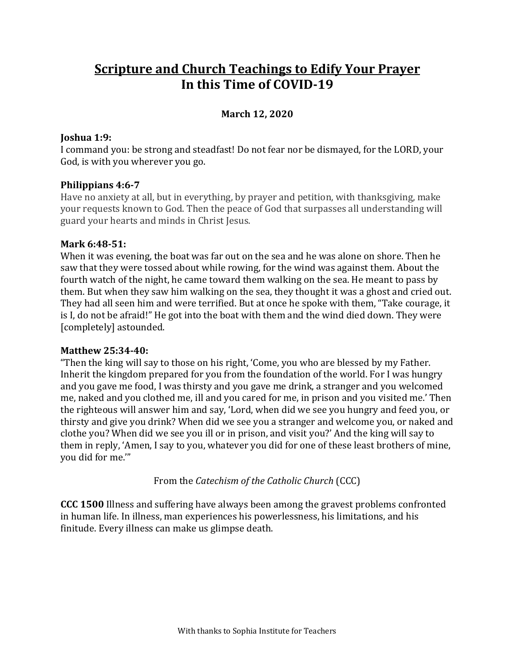# **Scripture and Church Teachings to Edify Your Prayer In this Time of COVID‐19**

# **March 12, 2020**

## **Joshua 1:9:**

I command you: be strong and steadfast! Do not fear nor be dismayed, for the LORD, your God, is with you wherever you go.

### **Philippians 4:6‐7**

Have no anxiety at all, but in everything, by prayer and petition, with thanksgiving, make your requests known to God. Then the peace of God that surpasses all understanding will guard your hearts and minds in Christ Jesus.

#### **Mark 6:48‐51:**

When it was evening, the boat was far out on the sea and he was alone on shore. Then he saw that they were tossed about while rowing, for the wind was against them. About the fourth watch of the night, he came toward them walking on the sea. He meant to pass by them. But when they saw him walking on the sea, they thought it was a ghost and cried out. They had all seen him and were terrified. But at once he spoke with them, "Take courage, it is I, do not be afraid!" He got into the boat with them and the wind died down. They were [completely] astounded.

#### **Matthew 25:34‐40:**

"Then the king will say to those on his right, 'Come, you who are blessed by my Father. Inherit the kingdom prepared for you from the foundation of the world. For I was hungry and you gave me food, I was thirsty and you gave me drink, a stranger and you welcomed me, naked and you clothed me, ill and you cared for me, in prison and you visited me.' Then the righteous will answer him and say, 'Lord, when did we see you hungry and feed you, or thirsty and give you drink? When did we see you a stranger and welcome you, or naked and clothe you? When did we see you ill or in prison, and visit you?' And the king will say to them in reply, 'Amen, I say to you, whatever you did for one of these least brothers of mine, you did for me.'"

From the *Catechism of the Catholic Church* (CCC)

**CCC 1500** Illness and suffering have always been among the gravest problems confronted in human life. In illness, man experiences his powerlessness, his limitations, and his finitude. Every illness can make us glimpse death.